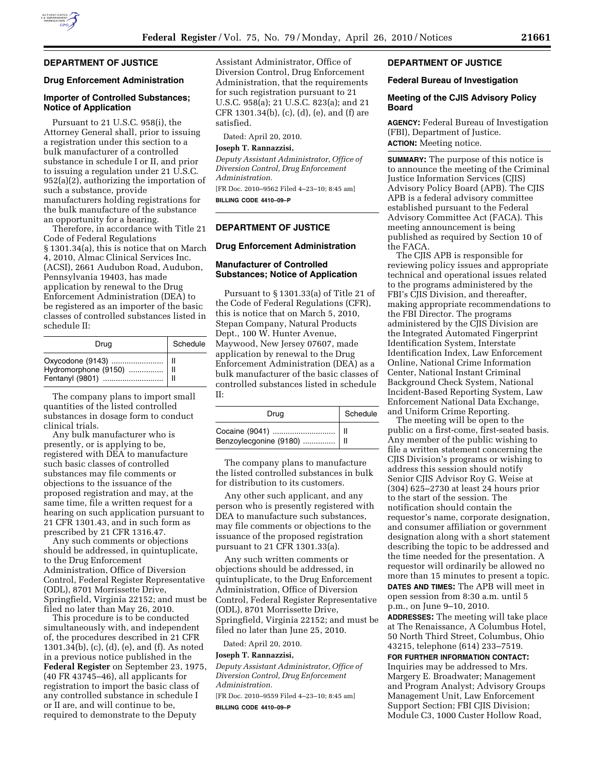

## **DEPARTMENT OF JUSTICE**

#### **Drug Enforcement Administration**

## **Importer of Controlled Substances; Notice of Application**

Pursuant to 21 U.S.C. 958(i), the Attorney General shall, prior to issuing a registration under this section to a bulk manufacturer of a controlled substance in schedule I or II, and prior to issuing a regulation under 21 U.S.C. 952(a)(2), authorizing the importation of such a substance, provide manufacturers holding registrations for the bulk manufacture of the substance an opportunity for a hearing.

Therefore, in accordance with Title 21 Code of Federal Regulations § 1301.34(a), this is notice that on March 4, 2010, Almac Clinical Services Inc. (ACSI), 2661 Audubon Road, Audubon, Pennsylvania 19403, has made application by renewal to the Drug Enforcement Administration (DEA) to be registered as an importer of the basic classes of controlled substances listed in schedule II:

| Drug | Schedule |
|------|----------|
|      |          |

The company plans to import small quantities of the listed controlled substances in dosage form to conduct clinical trials.

Any bulk manufacturer who is presently, or is applying to be, registered with DEA to manufacture such basic classes of controlled substances may file comments or objections to the issuance of the proposed registration and may, at the same time, file a written request for a hearing on such application pursuant to 21 CFR 1301.43, and in such form as prescribed by 21 CFR 1316.47.

Any such comments or objections should be addressed, in quintuplicate, to the Drug Enforcement Administration, Office of Diversion Control, Federal Register Representative (ODL), 8701 Morrissette Drive, Springfield, Virginia 22152; and must be filed no later than May 26, 2010.

This procedure is to be conducted simultaneously with, and independent of, the procedures described in 21 CFR 1301.34(b), (c), (d), (e), and (f). As noted in a previous notice published in the **Federal Register** on September 23, 1975, (40 FR 43745–46), all applicants for registration to import the basic class of any controlled substance in schedule I or II are, and will continue to be, required to demonstrate to the Deputy

Assistant Administrator, Office of Diversion Control, Drug Enforcement Administration, that the requirements for such registration pursuant to 21 U.S.C. 958(a); 21 U.S.C. 823(a); and 21 CFR 1301.34(b), (c), (d), (e), and (f) are satisfied.

Dated: April 20, 2010.

#### **Joseph T. Rannazzisi,**

*Deputy Assistant Administrator, Office of Diversion Control, Drug Enforcement Administration.* 

[FR Doc. 2010–9562 Filed 4–23–10; 8:45 am] **BILLING CODE 4410–09–P** 

#### **DEPARTMENT OF JUSTICE**

#### **Drug Enforcement Administration**

## **Manufacturer of Controlled Substances; Notice of Application**

Pursuant to § 1301.33(a) of Title 21 of the Code of Federal Regulations (CFR), this is notice that on March 5, 2010, Stepan Company, Natural Products Dept., 100 W. Hunter Avenue, Maywood, New Jersey 07607, made application by renewal to the Drug Enforcement Administration (DEA) as a bulk manufacturer of the basic classes of controlled substances listed in schedule II:

| Drua                                                 | Schedule |
|------------------------------------------------------|----------|
| Cocaine (9041)    II<br>Benzoylecgonine (9180)    II |          |

The company plans to manufacture the listed controlled substances in bulk for distribution to its customers.

Any other such applicant, and any person who is presently registered with DEA to manufacture such substances, may file comments or objections to the issuance of the proposed registration pursuant to 21 CFR 1301.33(a).

Any such written comments or objections should be addressed, in quintuplicate, to the Drug Enforcement Administration, Office of Diversion Control, Federal Register Representative (ODL), 8701 Morrissette Drive, Springfield, Virginia 22152; and must be filed no later than June 25, 2010.

Dated: April 20, 2010.

## **Joseph T. Rannazzisi,**

*Deputy Assistant Administrator, Office of Diversion Control, Drug Enforcement Administration.* 

[FR Doc. 2010–9559 Filed 4–23–10; 8:45 am] **BILLING CODE 4410–09–P** 

## **DEPARTMENT OF JUSTICE**

#### **Federal Bureau of Investigation**

#### **Meeting of the CJIS Advisory Policy Board**

**AGENCY:** Federal Bureau of Investigation (FBI), Department of Justice. **ACTION:** Meeting notice.

**SUMMARY:** The purpose of this notice is to announce the meeting of the Criminal Justice Information Services (CJIS) Advisory Policy Board (APB). The CJIS APB is a federal advisory committee established pursuant to the Federal Advisory Committee Act (FACA). This meeting announcement is being published as required by Section 10 of the FACA.

The CJIS APB is responsible for reviewing policy issues and appropriate technical and operational issues related to the programs administered by the FBI's CJIS Division, and thereafter, making appropriate recommendations to the FBI Director. The programs administered by the CJIS Division are the Integrated Automated Fingerprint Identification System, Interstate Identification Index, Law Enforcement Online, National Crime Information Center, National Instant Criminal Background Check System, National Incident-Based Reporting System, Law Enforcement National Data Exchange, and Uniform Crime Reporting.

The meeting will be open to the public on a first-come, first-seated basis. Any member of the public wishing to file a written statement concerning the CJIS Division's programs or wishing to address this session should notify Senior CJIS Advisor Roy G. Weise at (304) 625–2730 at least 24 hours prior to the start of the session. The notification should contain the requestor's name, corporate designation, and consumer affiliation or government designation along with a short statement describing the topic to be addressed and the time needed for the presentation. A requestor will ordinarily be allowed no more than 15 minutes to present a topic. **DATES AND TIMES:** The APB will meet in open session from 8:30 a.m. until 5 p.m., on June 9–10, 2010.

**ADDRESSES:** The meeting will take place at The Renaissance, A Columbus Hotel, 50 North Third Street, Columbus, Ohio 43215, telephone (614) 233–7519.

**FOR FURTHER INFORMATION CONTACT:**  Inquiries may be addressed to Mrs. Margery E. Broadwater; Management and Program Analyst; Advisory Groups Management Unit, Law Enforcement Support Section; FBI CJIS Division; Module C3, 1000 Custer Hollow Road,